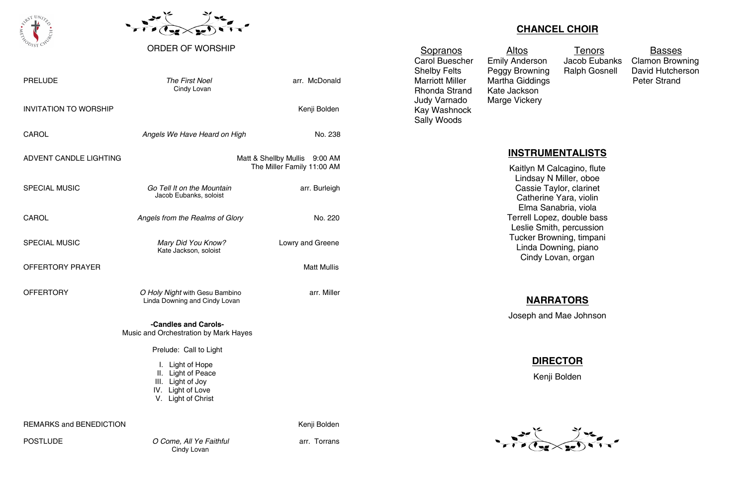| <b>PRELUDE</b>                 | <b>The First Noel</b><br>Cindy Lovan                                                                   | arr. McDonald                                               |  |
|--------------------------------|--------------------------------------------------------------------------------------------------------|-------------------------------------------------------------|--|
| <b>INVITATION TO WORSHIP</b>   |                                                                                                        | Kenji Bolden                                                |  |
| <b>CAROL</b>                   | Angels We Have Heard on High                                                                           | No. 238                                                     |  |
| ADVENT CANDLE LIGHTING         |                                                                                                        | Matt & Shellby Mullis 9:00 AM<br>The Miller Family 11:00 AM |  |
| <b>SPECIAL MUSIC</b>           | Go Tell It on the Mountain<br>Jacob Eubanks, soloist                                                   | arr. Burleigh                                               |  |
| CAROL                          | Angels from the Realms of Glory                                                                        | No. 220                                                     |  |
| <b>SPECIAL MUSIC</b>           | Mary Did You Know?<br>Kate Jackson, soloist                                                            | Lowry and Greene                                            |  |
| OFFERTORY PRAYER               |                                                                                                        | <b>Matt Mullis</b>                                          |  |
| <b>OFFERTORY</b>               | O Holy Night with Gesu Bambino<br>Linda Downing and Cindy Lovan                                        | arr. Miller                                                 |  |
|                                | -Candles and Carols-<br>Music and Orchestration by Mark Hayes                                          |                                                             |  |
|                                | Prelude: Call to Light                                                                                 |                                                             |  |
|                                | I. Light of Hope<br>II. Light of Peace<br>III. Light of Joy<br>IV. Light of Love<br>V. Light of Christ |                                                             |  |
| <b>REMARKS and BENEDICTION</b> |                                                                                                        | Kenji Bolden                                                |  |

Marriott Miller Martha Giddings **Peter Strand** Rhonda Strand Kate Jackson Judy Varnado Marge Vickery Kay Washnock Sally Woods

POSTLUDE *O Come, All Ye Faithful* arr. Torrans Cindy Lovan





### ORDER OF WORSHIP

## **CHANCEL CHOIR**

Sopranos Altos Tenors Basses

Carol Buescher Emily Anderson Jacob Eubanks Clamon Browning Shelby Felts Peggy Browning Ralph Gosnell David Hutcherson

## **INSTRUMENTALISTS**



Kaitlyn M Calcagino, flute Lindsay N Miller, oboe Cassie Taylor, clarinet Catherine Yara, violin Elma Sanabria, viola Terrell Lopez, double bass Leslie Smith, percussion Tucker Browning, timpani Linda Downing, piano Cindy Lovan, organ

# **NARRATORS**

Joseph and Mae Johnson

# **DIRECTOR**

Kenji Bolden